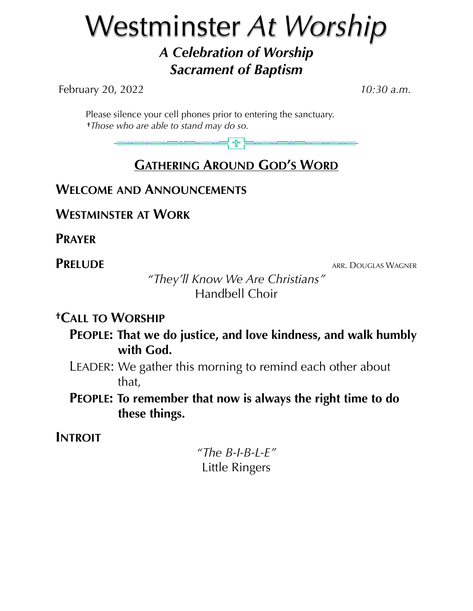# Westminster *At Worship A Celebration of Worship Sacrament of Baptism*

February 20, 2022 *10:30 a.m.*

 Please silence your cell phones prior to entering the sanctuary. **†***Those who are able to stand may do so.*

> ╡╬╞══════ 38<del>0 1</del>8 18 18 18

# **GATHERING AROUND GOD'S WORD**

### **WELCOME AND ANNOUNCEMENTS**

**WESTMINSTER AT WORK**

**PRAYER**

**PRELUDE** ARR. DOUGLAS WAGNER

*"They'll Know We Are Christians"* Handbell Choir

### **†CALL TO WORSHIP**

**PEOPLE: That we do justice, and love kindness, and walk humbly with God.**

- LEADER: We gather this morning to remind each other about that,
- **PEOPLE: To remember that now is always the right time to do these things.**

# **INTROIT**

*"The B-I-B-L-E"* Little Ringers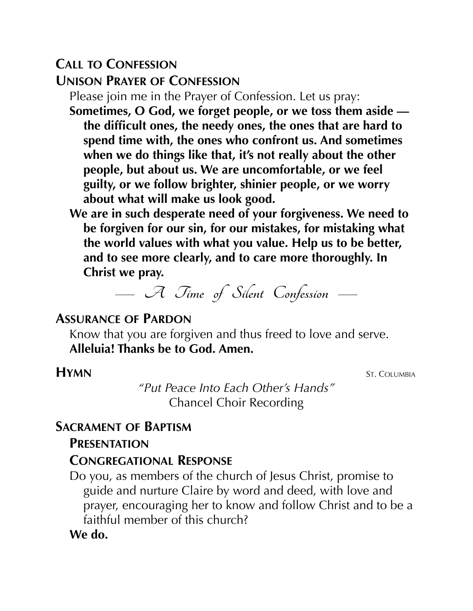# **CALL TO CONFESSION**

#### **UNISON PRAYER OF CONFESSION**

Please join me in the Prayer of Confession. Let us pray:

**Sometimes, O God, we forget people, or we toss them aside the difficult ones, the needy ones, the ones that are hard to spend time with, the ones who confront us. And sometimes when we do things like that, it's not really about the other people, but about us. We are uncomfortable, or we feel guilty, or we follow brighter, shinier people, or we worry about what will make us look good.**

**We are in such desperate need of your forgiveness. We need to be forgiven for our sin, for our mistakes, for mistaking what the world values with what you value. Help us to be better, and to see more clearly, and to care more thoroughly. In Christ we pray.**

**— A Time of Silent Confession —**

# **ASSURANCE OF PARDON**

Know that you are forgiven and thus freed to love and serve. **Alleluia! Thanks be to God. Amen.**

**HYMN** ST. COLUMBIA

*"Put Peace Into Each Other's Hands"* Chancel Choir Recording

#### **SACRAMENT OF BAPTISM**

#### **PRESENTATION**

#### **CONGREGATIONAL RESPONSE**

Do you, as members of the church of Jesus Christ, promise to guide and nurture Claire by word and deed, with love and prayer, encouraging her to know and follow Christ and to be a faithful member of this church?

**We do.**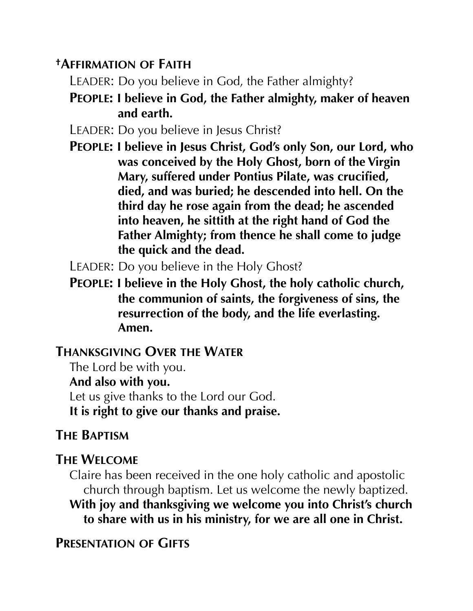# **†AFFIRMATION OF FAITH**

- LEADER: Do you believe in God, the Father almighty?
- **PEOPLE: I believe in God, the Father almighty, maker of heaven and earth.**
- LEADER: Do you believe in Jesus Christ?
- **PEOPLE: I believe in Jesus Christ, God's only Son, our Lord, who was conceived by the Holy Ghost, born of the Virgin Mary, suffered under Pontius Pilate, was crucified, died, and was buried; he descended into hell. On the third day he rose again from the dead; he ascended into heaven, he sittith at the right hand of God the Father Almighty; from thence he shall come to judge the quick and the dead.**

LEADER: Do you believe in the Holy Ghost?

**PEOPLE: I believe in the Holy Ghost, the holy catholic church, the communion of saints, the forgiveness of sins, the resurrection of the body, and the life everlasting. Amen.**

### **THANKSGIVING OVER THE WATER**

The Lord be with you. **And also with you.** Let us give thanks to the Lord our God. **It is right to give our thanks and praise.**

# **THE BAPTISM**

# **THE WELCOME**

Claire has been received in the one holy catholic and apostolic church through baptism. Let us welcome the newly baptized. **With joy and thanksgiving we welcome you into Christ's church to share with us in his ministry, for we are all one in Christ.**

**PRESENTATION OF GIFTS**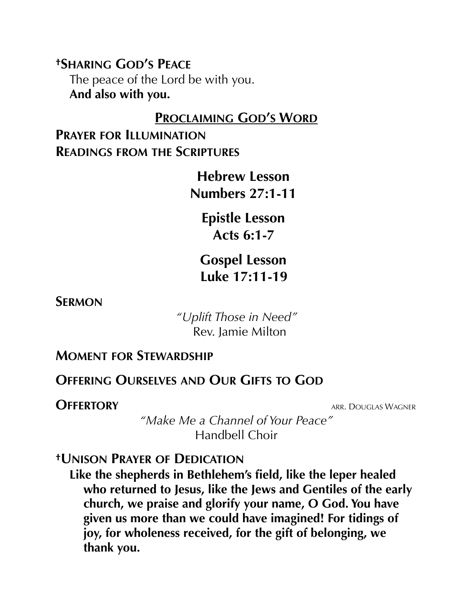**†SHARING GOD'S PEACE** The peace of the Lord be with you. **And also with you.**

#### **PROCLAIMING GOD'S WORD**

**PRAYER FOR ILLUMINATION READINGS FROM THE SCRIPTURES**

> **Hebrew Lesson Numbers 27:1-11**

> > **Epistle Lesson Acts 6:1-7**

**Gospel Lesson Luke 17:11-19**

**SERMON** 

 *"Uplift Those in Need"* Rev. Jamie Milton

#### **MOMENT FOR STEWARDSHIP**

# **OFFERING OURSELVES AND OUR GIFTS TO GOD**

**OFFERTORY** ARR. DOUGLAS WAGNER

*"Make Me a Channel of Your Peace"* Handbell Choir

### **†UNISON PRAYER OF DEDICATION**

**Like the shepherds in Bethlehem's field, like the leper healed who returned to Jesus, like the Jews and Gentiles of the early church, we praise and glorify your name, O God. You have given us more than we could have imagined! For tidings of joy, for wholeness received, for the gift of belonging, we thank you.**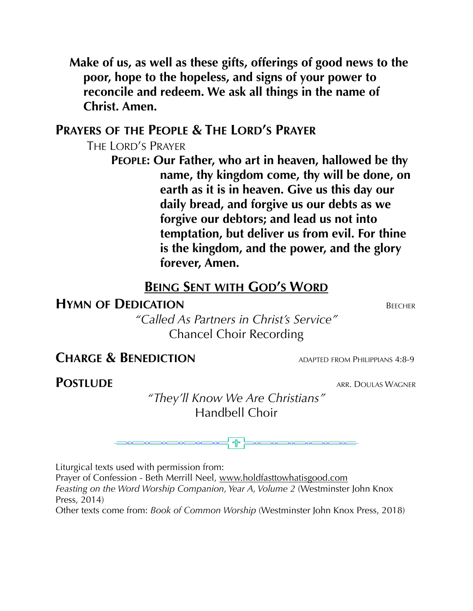**Make of us, as well as these gifts, offerings of good news to the poor, hope to the hopeless, and signs of your power to reconcile and redeem. We ask all things in the name of Christ. Amen.**

### **PRAYERS OF THE PEOPLE & THE LORD'S PRAYER**

THE LORD'S PRAYER

**PEOPLE: Our Father, who art in heaven, hallowed be thy name, thy kingdom come, thy will be done, on earth as it is in heaven. Give us this day our daily bread, and forgive us our debts as we forgive our debtors; and lead us not into temptation, but deliver us from evil. For thine is the kingdom, and the power, and the glory forever, Amen.**

### **BEING SENT WITH GOD'S WORD**

#### **HYMN OF DEDICATION** BEECHER

*"Called As Partners in Christ's Service"* Chancel Choir Recording

### **CHARGE & BENEDICTION** ADAPTED FROM PHILIPPIANS 4:8-9

**POSTLUDE** ARR. DOULAS WAGNER

*"They'll Know We Are Christians"* Handbell Choir

Liturgical texts used with permission from:

Prayer of Confession - Beth Merrill Neel, [www.holdfasttowhatisgood.com](http://www.holdfastowhatisgood.com) Feasting on the Word Worship Companion, Year A, Volume 2 (Westminster John Knox Press, 2014)

Other texts come from: *Book of Common Worship* (Westminster John Knox Press, 2018)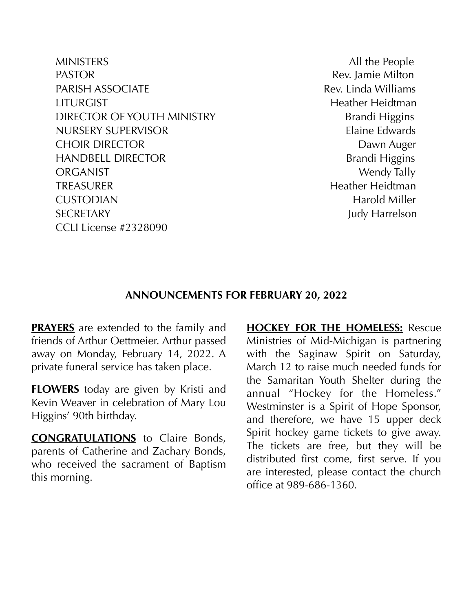MINISTERS All the People PASTOR **Rev.** Jamie Milton PARISH ASSOCIATE **Rev. Linda Williams** LITURGIST Heather Heidtman DIRECTOR OF YOUTH MINISTRY Brandi Higgins NURSERY SUPERVISOR Elaine Edwards CHOIR DIRECTOR **DAWN AUGUST 2006** Dawn Auger HANDBELL DIRECTOR Brandi Higgins ORGANIST Wendy Tally TREASURER Heidtman Heather Heidtman CUSTODIAN Harold Miller SECRETARY Judy Harrelson CCLI License #2328090

#### **ANNOUNCEMENTS FOR FEBRUARY 20, 2022**

**PRAYERS** are extended to the family and friends of Arthur Oettmeier. Arthur passed away on Monday, February 14, 2022. A private funeral service has taken place.

**FLOWERS** today are given by Kristi and Kevin Weaver in celebration of Mary Lou Higgins' 90th birthday.

**CONGRATULATIONS** to Claire Bonds, parents of Catherine and Zachary Bonds, who received the sacrament of Baptism this morning.

**HOCKEY FOR THE HOMELESS:** Rescue Ministries of Mid-Michigan is partnering with the Saginaw Spirit on Saturday, March 12 to raise much needed funds for the Samaritan Youth Shelter during the annual "Hockey for the Homeless." Westminster is a Spirit of Hope Sponsor, and therefore, we have 15 upper deck Spirit hockey game tickets to give away. The tickets are free, but they will be distributed first come, first serve. If you are interested, please contact the church office at 989-686-1360.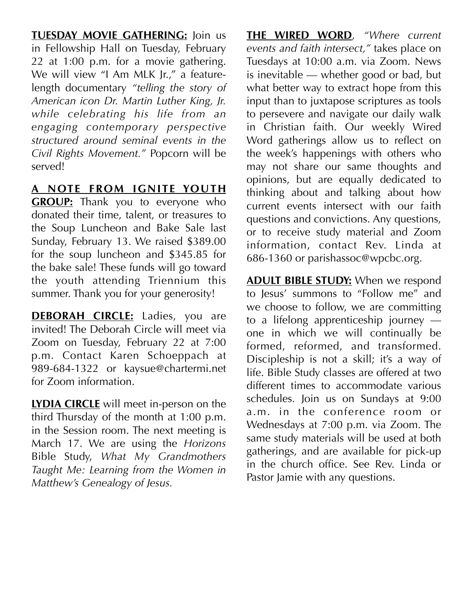**TUESDAY MOVIE GATHERING:** Join us in Fellowship Hall on Tuesday, February 22 at 1:00 p.m. for a movie gathering. We will view "I Am MLK Jr.," a featurelength documentary *"telling the story of American icon Dr. Martin Luther King, Jr. while celebrating his life from an engaging contemporary perspective structured around seminal events in the Civil Rights Movement."* Popcorn will be served!

#### **A NOTE FROM IGNITE YOUTH**

**GROUP:** Thank you to everyone who donated their time, talent, or treasures to the Soup Luncheon and Bake Sale last Sunday, February 13. We raised \$389.00 for the soup luncheon and \$345.85 for the bake sale! These funds will go toward the youth attending Triennium this summer. Thank you for your generosity!

**DEBORAH CIRCLE:** Ladies, you are invited! The Deborah Circle will meet via Zoom on Tuesday, February 22 at 7:00 p.m. Contact Karen Schoeppach at 989-684-1322 or kaysue@chartermi.net for Zoom information.

**LYDIA CIRCLE** will meet in-person on the third Thursday of the month at 1:00 p.m. in the Session room. The next meeting is March 17. We are using the *Horizons* Bible Study, *What My Grandmothers Taught Me: Learning from the Women in Matthew's Genealogy of Jesus.*

**THE WIRED WORD**, *"Where current events and faith intersect,"* takes place on Tuesdays at 10:00 a.m. via Zoom. News is inevitable — whether good or bad, but what better way to extract hope from this input than to juxtapose scriptures as tools to persevere and navigate our daily walk in Christian faith. Our weekly Wired Word gatherings allow us to reflect on the week's happenings with others who may not share our same thoughts and opinions, but are equally dedicated to thinking about and talking about how current events intersect with our faith questions and convictions. Any questions, or to receive study material and Zoom information, contact Rev. Linda at 686-1360 or parishassoc@wpcbc.org.

**ADULT BIBLE STUDY:** When we respond to Jesus' summons to "Follow me" and we choose to follow, we are committing to a lifelong apprenticeship journey one in which we will continually be formed, reformed, and transformed. Discipleship is not a skill; it's a way of life. Bible Study classes are offered at two different times to accommodate various schedules. Join us on Sundays at 9:00 a.m. in the conference room or Wednesdays at 7:00 p.m. via Zoom. The same study materials will be used at both gatherings, and are available for pick-up in the church office. See Rev. Linda or Pastor Jamie with any questions.